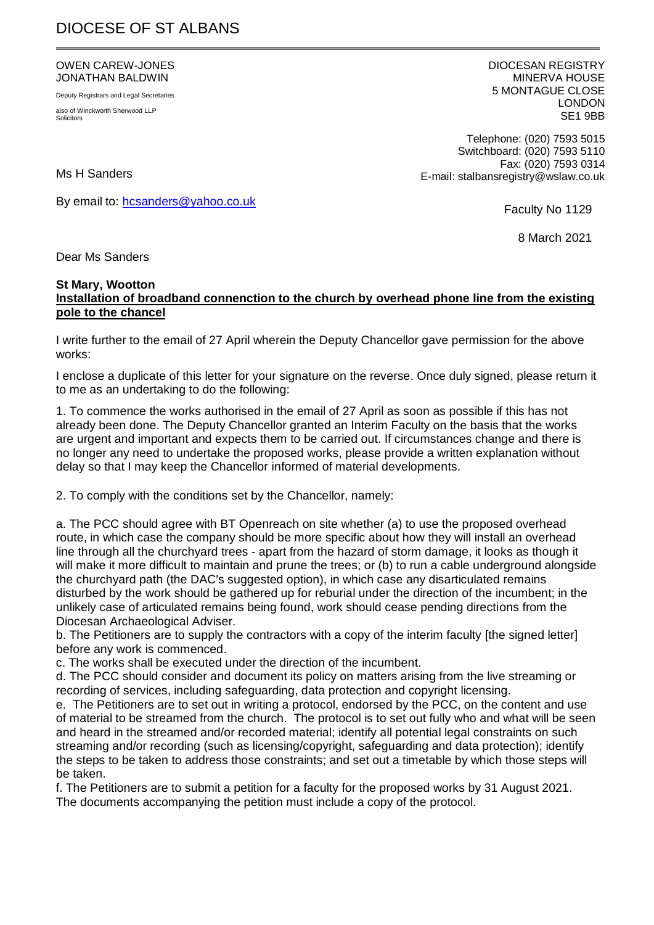# DIOCESE OF ST ALBANS

#### OWEN CAREW-JONES JONATHAN BALDWIN

Deputy Registrars and Legal Secretaries also of Winckworth Sherwood LLP **Solicitors** 

DIOCESAN REGISTRY MINERVA HOUSE 5 MONTAGUE CLOSE LONDON SE1 9BB

Telephone: (020) 7593 5015 Switchboard: (020) 7593 5110 Fax: (020) 7593 0314 E-mail: stalbansregistry@wslaw.co.uk

Ms H Sanders

By email to: [hcsanders@yahoo.co.uk](mailto:hcsanders@yahoo.co.uk)

Faculty No 1129

8 March 2021

Dear Ms Sanders

### **St Mary, Wootton**

### **Installation of broadband connenction to the church by overhead phone line from the existing pole to the chancel**

I write further to the email of 27 April wherein the Deputy Chancellor gave permission for the above works:

I enclose a duplicate of this letter for your signature on the reverse. Once duly signed, please return it to me as an undertaking to do the following:

1. To commence the works authorised in the email of 27 April as soon as possible if this has not already been done. The Deputy Chancellor granted an Interim Faculty on the basis that the works are urgent and important and expects them to be carried out. If circumstances change and there is no longer any need to undertake the proposed works, please provide a written explanation without delay so that I may keep the Chancellor informed of material developments.

2. To comply with the conditions set by the Chancellor, namely:

a. The PCC should agree with BT Openreach on site whether (a) to use the proposed overhead route, in which case the company should be more specific about how they will install an overhead line through all the churchyard trees - apart from the hazard of storm damage, it looks as though it will make it more difficult to maintain and prune the trees; or (b) to run a cable underground alongside the churchyard path (the DAC's suggested option), in which case any disarticulated remains disturbed by the work should be gathered up for reburial under the direction of the incumbent; in the unlikely case of articulated remains being found, work should cease pending directions from the Diocesan Archaeological Adviser.

b. The Petitioners are to supply the contractors with a copy of the interim faculty [the signed letter] before any work is commenced.

c. The works shall be executed under the direction of the incumbent.

d. The PCC should consider and document its policy on matters arising from the live streaming or recording of services, including safeguarding, data protection and copyright licensing.

e. The Petitioners are to set out in writing a protocol, endorsed by the PCC, on the content and use of material to be streamed from the church. The protocol is to set out fully who and what will be seen and heard in the streamed and/or recorded material; identify all potential legal constraints on such streaming and/or recording (such as licensing/copyright, safeguarding and data protection); identify the steps to be taken to address those constraints; and set out a timetable by which those steps will be taken.

f. The Petitioners are to submit a petition for a faculty for the proposed works by 31 August 2021. The documents accompanying the petition must include a copy of the protocol.